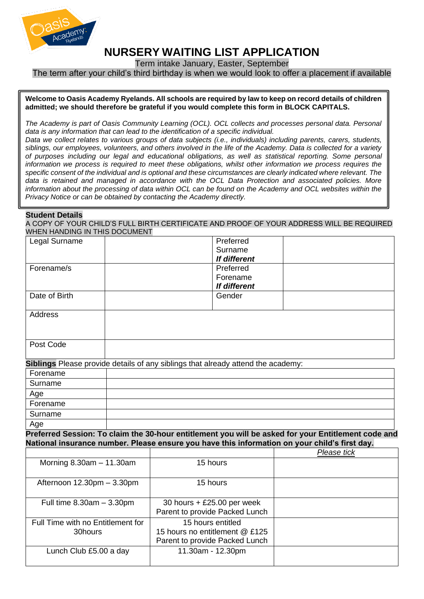

# **NURSERY WAITING LIST APPLICATION**

Term intake January, Easter, September

The term after your child's third birthday is when we would look to offer a placement if available

#### **Welcome to Oasis Academy Ryelands. All schools are required by law to keep on record details of children admitted; we should therefore be grateful if you would complete this form in BLOCK CAPITALS.**

*The Academy is part of Oasis Community Learning (OCL). OCL collects and processes personal data. Personal data is any information that can lead to the identification of a specific individual.*

*Data we collect relates to various groups of data subjects (i.e., individuals) including parents, carers, students, siblings, our employees, volunteers, and others involved in the life of the Academy. Data is collected for a variety of purposes including our legal and educational obligations, as well as statistical reporting. Some personal information we process is required to meet these obligations, whilst other information we process requires the specific consent of the individual and is optional and these circumstances are clearly indicated where relevant. The data is retained and managed in accordance with the OCL Data Protection and associated policies. More information about the processing of data within OCL can be found on the Academy and OCL websites within the Privacy Notice or can be obtained by contacting the Academy directly.*

### **Student Details**

A COPY OF YOUR CHILD'S FULL BIRTH CERTIFICATE AND PROOF OF YOUR ADDRESS WILL BE REQUIRED WHEN HANDING IN THIS DOCUMENT

| Legal Surname                                                                    |  |                                | Preferred                 |                                                                                                     |
|----------------------------------------------------------------------------------|--|--------------------------------|---------------------------|-----------------------------------------------------------------------------------------------------|
|                                                                                  |  |                                | Surname                   |                                                                                                     |
| Forename/s                                                                       |  |                                | If different<br>Preferred |                                                                                                     |
|                                                                                  |  |                                | Forename                  |                                                                                                     |
|                                                                                  |  |                                | If different              |                                                                                                     |
| Date of Birth                                                                    |  |                                | Gender                    |                                                                                                     |
|                                                                                  |  |                                |                           |                                                                                                     |
| <b>Address</b>                                                                   |  |                                |                           |                                                                                                     |
|                                                                                  |  |                                |                           |                                                                                                     |
|                                                                                  |  |                                |                           |                                                                                                     |
| Post Code                                                                        |  |                                |                           |                                                                                                     |
| Siblings Please provide details of any siblings that already attend the academy: |  |                                |                           |                                                                                                     |
| Forename                                                                         |  |                                |                           |                                                                                                     |
| Surname                                                                          |  |                                |                           |                                                                                                     |
| Age                                                                              |  |                                |                           |                                                                                                     |
| Forename                                                                         |  |                                |                           |                                                                                                     |
| Surname                                                                          |  |                                |                           |                                                                                                     |
| Age                                                                              |  |                                |                           |                                                                                                     |
|                                                                                  |  |                                |                           | Preferred Session: To claim the 30-hour entitlement you will be asked for your Entitlement code and |
|                                                                                  |  |                                |                           | National insurance number. Please ensure you have this information on your child's first day.       |
|                                                                                  |  |                                |                           | Please tick                                                                                         |
| Morning $8.30am - 11.30am$                                                       |  | 15 hours                       |                           |                                                                                                     |
|                                                                                  |  |                                |                           |                                                                                                     |
| Afternoon 12.30pm - 3.30pm                                                       |  | 15 hours                       |                           |                                                                                                     |
| Full time $8.30am - 3.30pm$                                                      |  | 30 hours + £25.00 per week     |                           |                                                                                                     |
|                                                                                  |  | Parent to provide Packed Lunch |                           |                                                                                                     |
| Full Time with no Entitlement for                                                |  | 15 hours entitled              |                           |                                                                                                     |
| 30hours                                                                          |  | 15 hours no entitlement @ £125 |                           |                                                                                                     |
|                                                                                  |  | Parent to provide Packed Lunch |                           |                                                                                                     |
| Lunch Club £5.00 a day                                                           |  | 11.30am - 12.30pm              |                           |                                                                                                     |
|                                                                                  |  |                                |                           |                                                                                                     |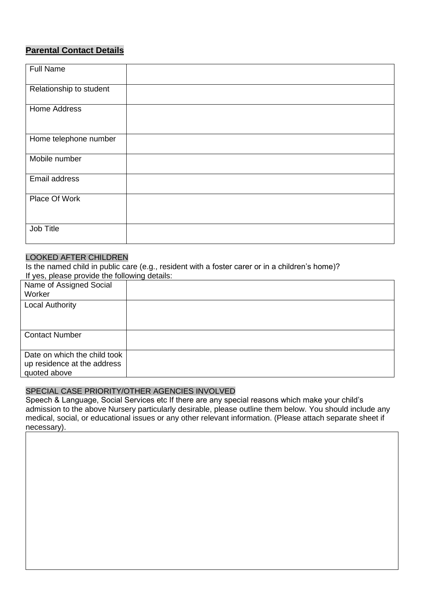# **Parental Contact Details**

| <b>Full Name</b>        |  |
|-------------------------|--|
| Relationship to student |  |
| Home Address            |  |
| Home telephone number   |  |
| Mobile number           |  |
| Email address           |  |
| Place Of Work           |  |
| Job Title               |  |

# LOOKED AFTER CHILDREN

Is the named child in public care (e.g., resident with a foster carer or in a children's home)? If yes, please provide the following details:

| Name of Assigned Social<br>Worker                                           |  |
|-----------------------------------------------------------------------------|--|
| <b>Local Authority</b>                                                      |  |
| <b>Contact Number</b>                                                       |  |
| Date on which the child took<br>up residence at the address<br>quoted above |  |

## SPECIAL CASE PRIORITY/OTHER AGENCIES INVOLVED

Speech & Language, Social Services etc If there are any special reasons which make your child's admission to the above Nursery particularly desirable, please outline them below. You should include any medical, social, or educational issues or any other relevant information. (Please attach separate sheet if necessary).